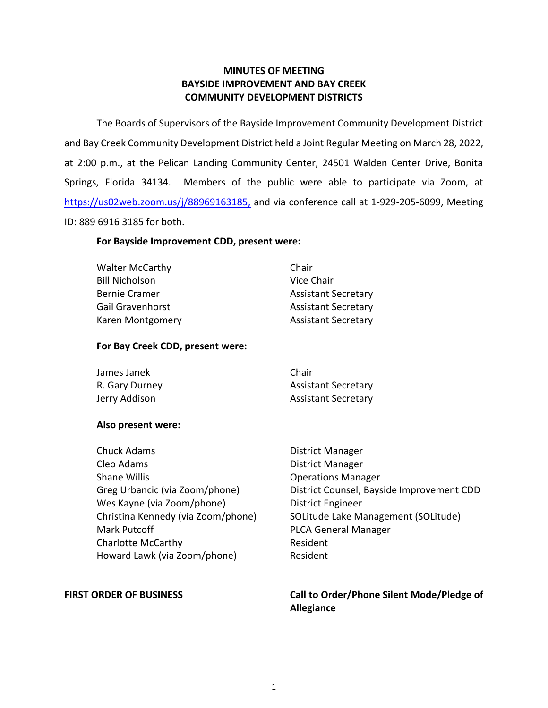# **MINUTES OF MEETING BAYSIDE IMPROVEMENT AND BAY CREEK COMMUNITY DEVELOPMENT DISTRICTS**

 The Boards of Supervisors of the Bayside Improvement Community Development District at 2:00 p.m., at the Pelican Landing Community Center, 24501 Walden Center Drive, Bonita Springs, Florida 34134. Members of the public were able to participate via Zoom, at ID: 889 6916 3185 for both. and Bay Creek Community Development District held a Joint Regular Meeting on March 28, 2022, [https://us02web.zoom.us/j/88969163185,](https://us02web.zoom.us/j/88969163185) and via conference call at 1-929-205-6099, Meeting

### **For Bayside Improvement CDD, present were:**

| <b>Walter McCarthy</b>  | Chair                      |
|-------------------------|----------------------------|
| <b>Bill Nicholson</b>   | Vice Chair                 |
| <b>Bernie Cramer</b>    | <b>Assistant Secretary</b> |
| <b>Gail Gravenhorst</b> | <b>Assistant Secretary</b> |
| Karen Montgomery        | <b>Assistant Secretary</b> |

# **For Bay Creek CDD, present were:**

| James Janek    | Chair                      |
|----------------|----------------------------|
| R. Gary Durney | <b>Assistant Secretary</b> |
| Jerry Addison  | <b>Assistant Secretary</b> |

#### **Also present were:**

| District Manager                          |
|-------------------------------------------|
| <b>District Manager</b>                   |
| <b>Operations Manager</b>                 |
| District Counsel, Bayside Improvement CDD |
| <b>District Engineer</b>                  |
| SOLitude Lake Management (SOLitude)       |
| <b>PLCA General Manager</b>               |
| Resident                                  |
| Resident                                  |
|                                           |

FIRST ORDER OF BUSINESS **The State of Landsler Call to Order/Phone Silent Mode/Pledge of Allegiance**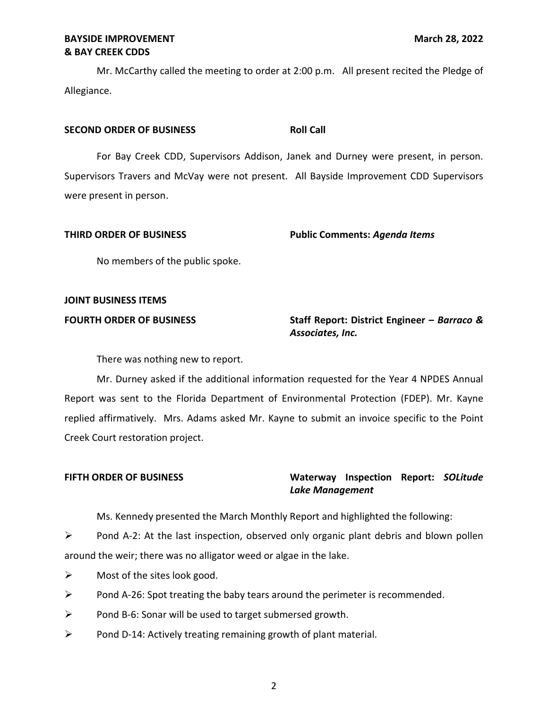Mr. McCarthy called the meeting to order at 2:00 p.m. All present recited the Pledge of Allegiance.

### **SECOND ORDER OF BUSINESS ROLL CALL ROLL CALL**

 For Bay Creek CDD, Supervisors Addison, Janek and Durney were present, in person. Supervisors Travers and McVay were not present. All Bayside Improvement CDD Supervisors were present in person.

| THIRD ORDER OF BUSINESS | <b>Public Comments: Agenda Items</b> |
|-------------------------|--------------------------------------|
|                         |                                      |

No members of the public spoke.

# **JOINT BUSINESS ITEMS**

# **FOURTH ORDER OF BUSINESS** Staff Report: District Engineer – *Barraco & Associates, Inc.*

There was nothing new to report.

 Mr. Durney asked if the additional information requested for the Year 4 NPDES Annual Report was sent to the Florida Department of Environmental Protection (FDEP). Mr. Kayne replied affirmatively. Mrs. Adams asked Mr. Kayne to submit an invoice specific to the Point Creek Court restoration project.

# **FIFTH ORDER OF BUSINESS Waterway Inspection Report:** *SOLitude Lake Management*

Ms. Kennedy presented the March Monthly Report and highlighted the following:

 $\triangleright$  Pond A-2: At the last inspection, observed only organic plant debris and blown pollen around the weir; there was no alligator weed or algae in the lake.

- $\triangleright$  Most of the sites look good.
- $\triangleright$  Pond A-26: Spot treating the baby tears around the perimeter is recommended.
- ➢ Pond B-6: Sonar will be used to target submersed growth.
- $\triangleright$  Pond D-14: Actively treating remaining growth of plant material.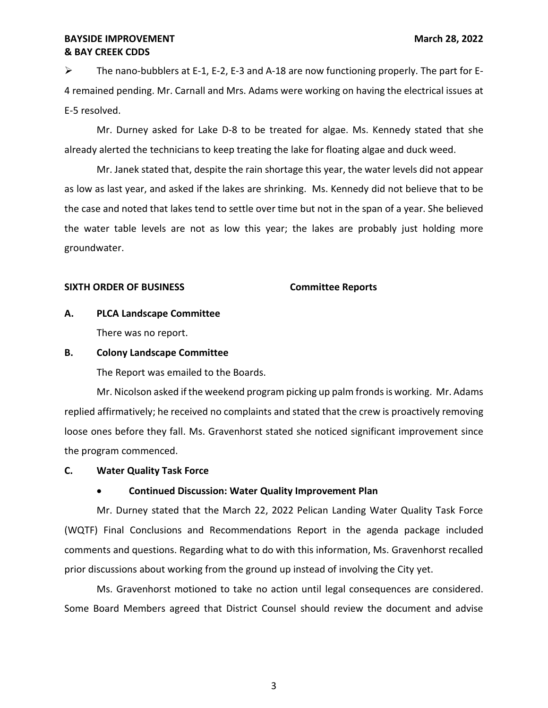➢ The nano-bubblers at E-1, E-2, E-3 and A-18 are now functioning properly. The part for E- 4 remained pending. Mr. Carnall and Mrs. Adams were working on having the electrical issues at E-5 resolved.

 Mr. Durney asked for Lake D-8 to be treated for algae. Ms. Kennedy stated that she already alerted the technicians to keep treating the lake for floating algae and duck weed.

 as low as last year, and asked if the lakes are shrinking. Ms. Kennedy did not believe that to be the case and noted that lakes tend to settle over time but not in the span of a year. She believed the water table levels are not as low this year; the lakes are probably just holding more Mr. Janek stated that, despite the rain shortage this year, the water levels did not appear groundwater.

### **SIXTH ORDER OF BUSINESS Committee Reports**

# **A. PLCA Landscape Committee**

There was no report.

### **B. Colony Landscape Committee**

The Report was emailed to the Boards.

 Mr. Nicolson asked if the weekend program picking up palm fronds is working. Mr. Adams replied affirmatively; he received no complaints and stated that the crew is proactively removing loose ones before they fall. Ms. Gravenhorst stated she noticed significant improvement since the program commenced.

## **C. Water Quality Task Force**

# • **Continued Discussion: Water Quality Improvement Plan**

 Mr. Durney stated that the March 22, 2022 Pelican Landing Water Quality Task Force (WQTF) Final Conclusions and Recommendations Report in the agenda package included comments and questions. Regarding what to do with this information, Ms. Gravenhorst recalled prior discussions about working from the ground up instead of involving the City yet.

 Ms. Gravenhorst motioned to take no action until legal consequences are considered. Some Board Members agreed that District Counsel should review the document and advise

3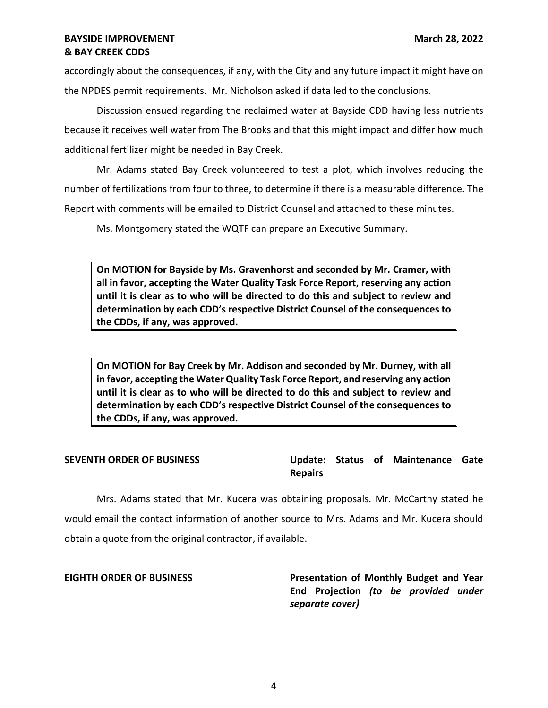accordingly about the consequences, if any, with the City and any future impact it might have on the NPDES permit requirements. Mr. Nicholson asked if data led to the conclusions.

 Discussion ensued regarding the reclaimed water at Bayside CDD having less nutrients because it receives well water from The Brooks and that this might impact and differ how much additional fertilizer might be needed in Bay Creek.

 number of fertilizations from four to three, to determine if there is a measurable difference. The Report with comments will be emailed to District Counsel and attached to these minutes. Mr. Adams stated Bay Creek volunteered to test a plot, which involves reducing the

Ms. Montgomery stated the WQTF can prepare an Executive Summary.

 **On MOTION for Bayside by Ms. Gravenhorst and seconded by Mr. Cramer, with all in favor, accepting the Water Quality Task Force Report, reserving any action until it is clear as to who will be directed to do this and subject to review and determination by each CDD's respective District Counsel of the consequences to the CDDs, if any, was approved.** 

 **On MOTION for Bay Creek by Mr. Addison and seconded by Mr. Durney, with all in favor, accepting the Water Quality Task Force Report, and reserving any action until it is clear as to who will be directed to do this and subject to review and determination by each CDD's respective District Counsel of the consequences to the CDDs, if any, was approved.** 

 **SEVENTH ORDER OF BUSINESS Update: Status of Maintenance Gate Repairs** 

 Mrs. Adams stated that Mr. Kucera was obtaining proposals. Mr. McCarthy stated he would email the contact information of another source to Mrs. Adams and Mr. Kucera should obtain a quote from the original contractor, if available.

## **EIGHTH ORDER OF BUSINESS**

 **End Projection** *(to be provided under*  **Presentation of Monthly Budget and Year** *separate cover)*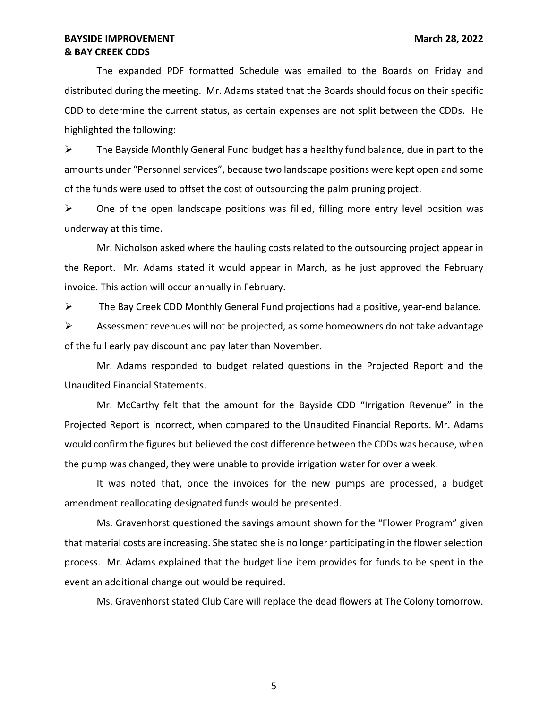The expanded PDF formatted Schedule was emailed to the Boards on Friday and distributed during the meeting. Mr. Adams stated that the Boards should focus on their specific CDD to determine the current status, as certain expenses are not split between the CDDs. He highlighted the following:

 $\triangleright$  The Bayside Monthly General Fund budget has a healthy fund balance, due in part to the amounts under "Personnel services", because two landscape positions were kept open and some of the funds were used to offset the cost of outsourcing the palm pruning project.

 $\triangleright$  One of the open landscape positions was filled, filling more entry level position was underway at this time.

 Mr. Nicholson asked where the hauling costs related to the outsourcing project appear in the Report. Mr. Adams stated it would appear in March, as he just approved the February invoice. This action will occur annually in February.

 $\triangleright$  The Bay Creek CDD Monthly General Fund projections had a positive, year-end balance.

 $\triangleright$  Assessment revenues will not be projected, as some homeowners do not take advantage of the full early pay discount and pay later than November.

 Mr. Adams responded to budget related questions in the Projected Report and the Unaudited Financial Statements.

 Mr. McCarthy felt that the amount for the Bayside CDD "Irrigation Revenue" in the Projected Report is incorrect, when compared to the Unaudited Financial Reports. Mr. Adams would confirm the figures but believed the cost difference between the CDDs was because, when the pump was changed, they were unable to provide irrigation water for over a week.

 It was noted that, once the invoices for the new pumps are processed, a budget amendment reallocating designated funds would be presented.

 Ms. Gravenhorst questioned the savings amount shown for the "Flower Program" given that material costs are increasing. She stated she is no longer participating in the flower selection process. Mr. Adams explained that the budget line item provides for funds to be spent in the event an additional change out would be required.

Ms. Gravenhorst stated Club Care will replace the dead flowers at The Colony tomorrow.

5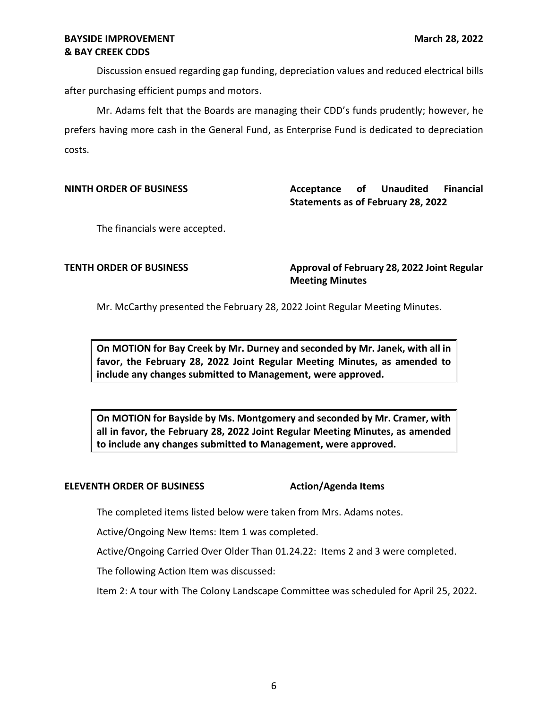Discussion ensued regarding gap funding, depreciation values and reduced electrical bills after purchasing efficient pumps and motors.

 Mr. Adams felt that the Boards are managing their CDD's funds prudently; however, he prefers having more cash in the General Fund, as Enterprise Fund is dedicated to depreciation costs.

**Acceptance Statements as of February 28, 2022 NINTH ORDER OF BUSINESS Acceptance of Unaudited Financial** 

The financials were accepted.

### **TENTH ORDER OF BUSINESS**

**Approval of February 28, 2022 Joint Regular Meeting Minutes** 

Mr. McCarthy presented the February 28, 2022 Joint Regular Meeting Minutes.

 **On MOTION for Bay Creek by Mr. Durney and seconded by Mr. Janek, with all in favor, the February 28, 2022 Joint Regular Meeting Minutes, as amended to include any changes submitted to Management, were approved.** 

 **On MOTION for Bayside by Ms. Montgomery and seconded by Mr. Cramer, with all in favor, the February 28, 2022 Joint Regular Meeting Minutes, as amended to include any changes submitted to Management, were approved.** 

#### **ELEVENTH ORDER OF BUSINESS** Action/Agenda Items

The completed items listed below were taken from Mrs. Adams notes.

Active/Ongoing New Items: Item 1 was completed.

Active/Ongoing Carried Over Older Than [01.24.22](https://01.24.22): Items 2 and 3 were completed.

The following Action Item was discussed:

Item 2: A tour with The Colony Landscape Committee was scheduled for April 25, 2022.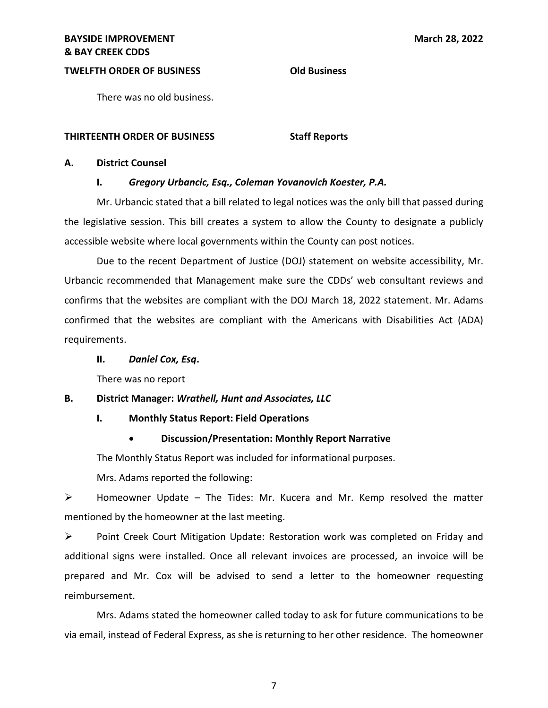# **TWELFTH ORDER OF BUSINESS Old Business**

There was no old business.

#### **THIRTEENTH ORDER OF BUSINESS Staff Reports**

#### **A. District Counsel**

### **I.** *Gregory Urbancic, Esq., Coleman Yovanovich Koester, P.A.*

 Mr. Urbancic stated that a bill related to legal notices was the only bill that passed during the legislative session. This bill creates a system to allow the County to designate a publicly accessible website where local governments within the County can post notices.

 Urbancic recommended that Management make sure the CDDs' web consultant reviews and confirms that the websites are compliant with the DOJ March 18, 2022 statement. Mr. Adams Due to the recent Department of Justice (DOJ) statement on website accessibility, Mr. confirmed that the websites are compliant with the Americans with Disabilities Act (ADA) requirements.

## **II.** *Daniel Cox, Esq***.**

There was no report

## **B. District Manager:** *Wrathell, Hunt and Associates, LLC*

#### **I. Monthly Status Report: Field Operations**

# • **Discussion/Presentation: Monthly Report Narrative**

The Monthly Status Report was included for informational purposes.

Mrs. Adams reported the following:

 $\triangleright$  Homeowner Update – The Tides: Mr. Kucera and Mr. Kemp resolved the matter mentioned by the homeowner at the last meeting.

 ➢ Point Creek Court Mitigation Update: Restoration work was completed on Friday and prepared and Mr. Cox will be advised to send a letter to the homeowner requesting additional signs were installed. Once all relevant invoices are processed, an invoice will be reimbursement.

 Mrs. Adams stated the homeowner called today to ask for future communications to be via email, instead of Federal Express, as she is returning to her other residence. The homeowner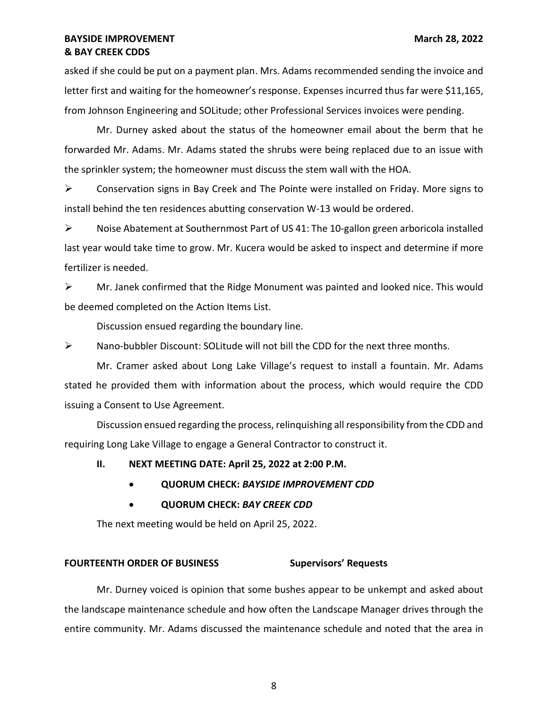asked if she could be put on a payment plan. Mrs. Adams recommended sending the invoice and letter first and waiting for the homeowner's response. Expenses incurred thus far were \$11,165, from Johnson Engineering and SOLitude; other Professional Services invoices were pending.

 Mr. Durney asked about the status of the homeowner email about the berm that he forwarded Mr. Adams. Mr. Adams stated the shrubs were being replaced due to an issue with the sprinkler system; the homeowner must discuss the stem wall with the HOA.

 ➢ Conservation signs in Bay Creek and The Pointe were installed on Friday. More signs to install behind the ten residences abutting conservation W-13 would be ordered.

 last year would take time to grow. Mr. Kucera would be asked to inspect and determine if more  $\triangleright$  Noise Abatement at Southernmost Part of US 41: The 10-gallon green arboricola installed fertilizer is needed.

 ➢ Mr. Janek confirmed that the Ridge Monument was painted and looked nice. This would be deemed completed on the Action Items List.

Discussion ensued regarding the boundary line.

 $\triangleright$  Nano-bubbler Discount: SOLitude will not bill the CDD for the next three months.

 Mr. Cramer asked about Long Lake Village's request to install a fountain. Mr. Adams stated he provided them with information about the process, which would require the CDD issuing a Consent to Use Agreement.

 Discussion ensued regarding the process, relinquishing all responsibility from the CDD and requiring Long Lake Village to engage a General Contractor to construct it.

# **II. NEXT MEETING DATE: April 25, 2022 at 2:00 P.M.**

- **QUORUM CHECK:** *BAYSIDE IMPROVEMENT CDD*
- **QUORUM CHECK:** *BAY CREEK CDD*

The next meeting would be held on April 25, 2022.

# **FOURTEENTH ORDER OF BUSINESS Supervisors' Requests**

 Mr. Durney voiced is opinion that some bushes appear to be unkempt and asked about the landscape maintenance schedule and how often the Landscape Manager drives through the entire community. Mr. Adams discussed the maintenance schedule and noted that the area in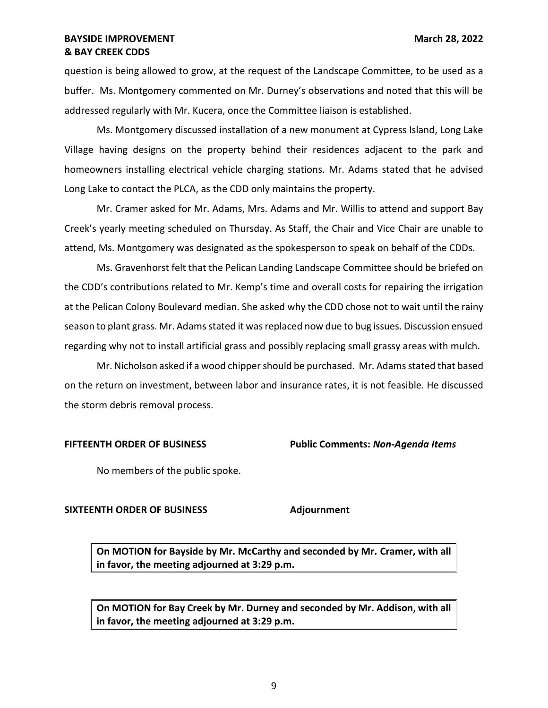question is being allowed to grow, at the request of the Landscape Committee, to be used as a buffer. Ms. Montgomery commented on Mr. Durney's observations and noted that this will be addressed regularly with Mr. Kucera, once the Committee liaison is established.

 Village having designs on the property behind their residences adjacent to the park and homeowners installing electrical vehicle charging stations. Mr. Adams stated that he advised Long Lake to contact the PLCA, as the CDD only maintains the property. Ms. Montgomery discussed installation of a new monument at Cypress Island, Long Lake

 Mr. Cramer asked for Mr. Adams, Mrs. Adams and Mr. Willis to attend and support Bay Creek's yearly meeting scheduled on Thursday. As Staff, the Chair and Vice Chair are unable to attend, Ms. Montgomery was designated as the spokesperson to speak on behalf of the CDDs.

 Ms. Gravenhorst felt that the Pelican Landing Landscape Committee should be briefed on the CDD's contributions related to Mr. Kemp's time and overall costs for repairing the irrigation at the Pelican Colony Boulevard median. She asked why the CDD chose not to wait until the rainy season to plant grass. Mr. Adams stated it was replaced now due to bug issues. Discussion ensued regarding why not to install artificial grass and possibly replacing small grassy areas with mulch.

 Mr. Nicholson asked if a wood chipper should be purchased. Mr. Adams stated that based on the return on investment, between labor and insurance rates, it is not feasible. He discussed the storm debris removal process.

 **FIFTEENTH ORDER OF BUSINESS Public Comments:** *Non-Agenda Items* 

No members of the public spoke.

## **SIXTEENTH ORDER OF BUSINESS Adjournment**

 **On MOTION for Bayside by Mr. McCarthy and seconded by Mr. Cramer, with all in favor, the meeting adjourned at 3:29 p.m.** 

 **On MOTION for Bay Creek by Mr. Durney and seconded by Mr. Addison, with all in favor, the meeting adjourned at 3:29 p.m.**